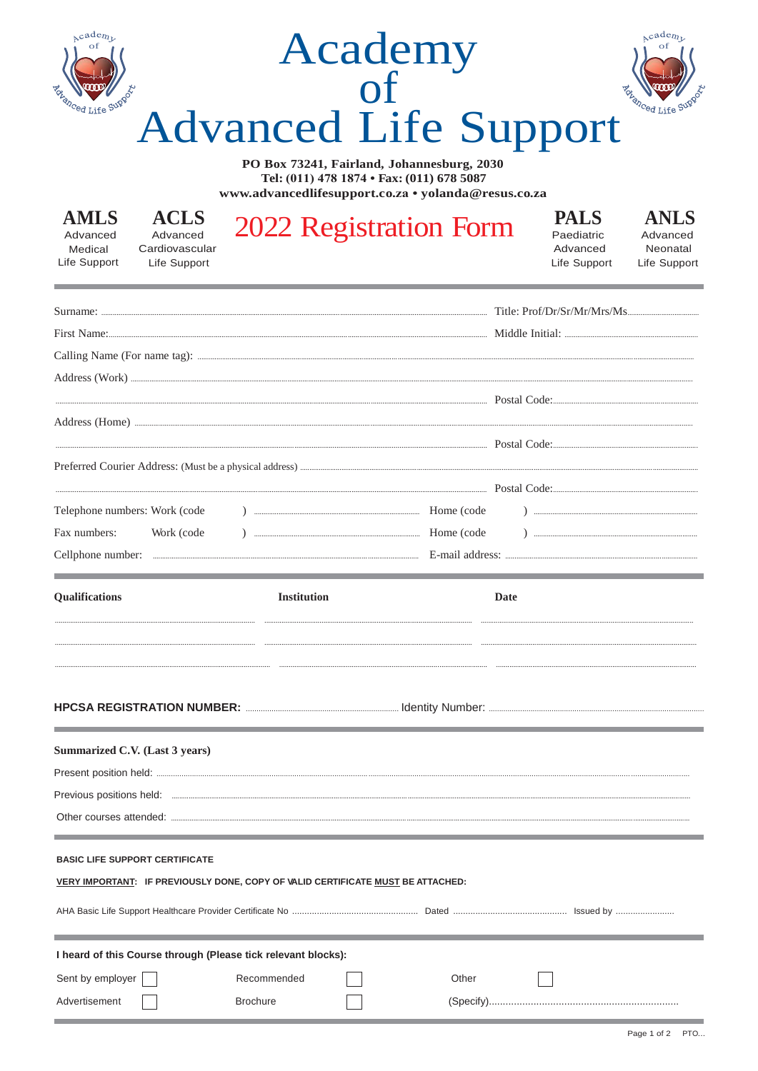| Academy                                    |  |
|--------------------------------------------|--|
|                                            |  |
| <b>Advanced Life Support</b>               |  |
| PO Box 73241, Fairland, Johannesburg, 2030 |  |

Tel: (011) 478 1874 • Fax: (011) 678 5087  $\label{thm:univ} {\bf www.addvanced life support.co.za: } {\bf yolanda} @ {\bf resus.co.za}$ 

| <b>AMLS</b>  |  |
|--------------|--|
| Advanced     |  |
| Medical      |  |
| Life Support |  |

**ACLS** Advanced Cardiovascular

Life Support

## 2022 Registration Form

**PALS** Paediatric Advanced Life Support

**ANLS** Advanced Neonatal Life Support

|                                                                                 |                    |       | First Name: <u>Communication and the second of the second of the second of the second of the second of the second of the second of the second of the second of the second of the second of the second of the second of the secon</u> |
|---------------------------------------------------------------------------------|--------------------|-------|--------------------------------------------------------------------------------------------------------------------------------------------------------------------------------------------------------------------------------------|
|                                                                                 |                    |       |                                                                                                                                                                                                                                      |
|                                                                                 |                    |       |                                                                                                                                                                                                                                      |
|                                                                                 |                    |       |                                                                                                                                                                                                                                      |
|                                                                                 |                    |       |                                                                                                                                                                                                                                      |
|                                                                                 |                    |       |                                                                                                                                                                                                                                      |
|                                                                                 |                    |       |                                                                                                                                                                                                                                      |
|                                                                                 |                    |       |                                                                                                                                                                                                                                      |
| Telephone numbers: Work (code                                                   |                    |       |                                                                                                                                                                                                                                      |
| Fax numbers:<br>Work (code                                                      |                    |       |                                                                                                                                                                                                                                      |
|                                                                                 |                    |       |                                                                                                                                                                                                                                      |
| <b>Qualifications</b>                                                           | <b>Institution</b> |       | Date                                                                                                                                                                                                                                 |
|                                                                                 |                    |       |                                                                                                                                                                                                                                      |
|                                                                                 |                    |       |                                                                                                                                                                                                                                      |
|                                                                                 |                    |       |                                                                                                                                                                                                                                      |
|                                                                                 |                    |       |                                                                                                                                                                                                                                      |
| Summarized C.V. (Last 3 years)                                                  |                    |       |                                                                                                                                                                                                                                      |
|                                                                                 |                    |       |                                                                                                                                                                                                                                      |
|                                                                                 |                    |       |                                                                                                                                                                                                                                      |
|                                                                                 |                    |       |                                                                                                                                                                                                                                      |
| <b>BASIC LIFE SUPPORT CERTIFICATE</b>                                           |                    |       |                                                                                                                                                                                                                                      |
| VERY IMPORTANT: IF PREVIOUSLY DONE, COPY OF VALID CERTIFICATE MUST BE ATTACHED: |                    |       |                                                                                                                                                                                                                                      |
|                                                                                 |                    |       |                                                                                                                                                                                                                                      |
|                                                                                 |                    |       |                                                                                                                                                                                                                                      |
| I heard of this Course through (Please tick relevant blocks):                   |                    |       |                                                                                                                                                                                                                                      |
| Sent by employer                                                                | Recommended        | Other |                                                                                                                                                                                                                                      |
| Advertisement                                                                   | <b>Brochure</b>    |       |                                                                                                                                                                                                                                      |